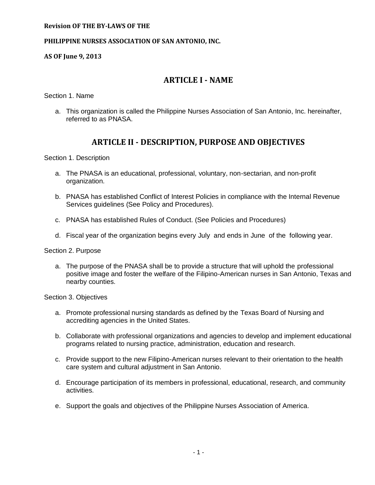### **PHILIPPINE NURSES ASSOCIATION OF SAN ANTONIO, INC.**

**AS OF June 9, 2013**

## **ARTICLE I - NAME**

Section 1. Name

a. This organization is called the Philippine Nurses Association of San Antonio, Inc. hereinafter, referred to as PNASA.

## **ARTICLE II - DESCRIPTION, PURPOSE AND OBJECTIVES**

Section 1. Description

- a. The PNASA is an educational, professional, voluntary, non-sectarian, and non-profit organization.
- b. PNASA has established Conflict of Interest Policies in compliance with the Internal Revenue Services guidelines (See Policy and Procedures).
- c. PNASA has established Rules of Conduct. (See Policies and Procedures)
- d. Fiscal year of the organization begins every July and ends in June of the following year.

Section 2. Purpose

a. The purpose of the PNASA shall be to provide a structure that will uphold the professional positive image and foster the welfare of the Filipino-American nurses in San Antonio, Texas and nearby counties.

Section 3. Objectives

- a. Promote professional nursing standards as defined by the Texas Board of Nursing and accrediting agencies in the United States.
- b. Collaborate with professional organizations and agencies to develop and implement educational programs related to nursing practice, administration, education and research.
- c. Provide support to the new Filipino-American nurses relevant to their orientation to the health care system and cultural adjustment in San Antonio.
- d. Encourage participation of its members in professional, educational, research, and community activities.
- e. Support the goals and objectives of the Philippine Nurses Association of America.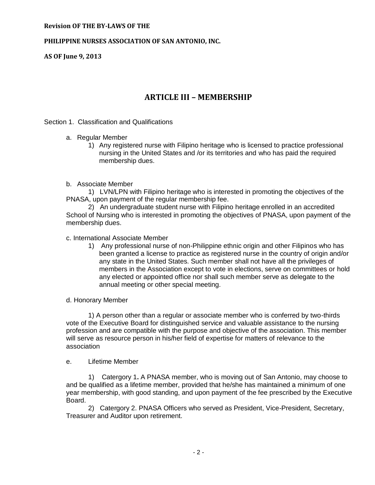### **PHILIPPINE NURSES ASSOCIATION OF SAN ANTONIO, INC.**

**AS OF June 9, 2013**

# **ARTICLE III – MEMBERSHIP**

#### Section 1. Classification and Qualifications

- a. Regular Member
	- 1) Any registered nurse with Filipino heritage who is licensed to practice professional nursing in the United States and /or its territories and who has paid the required membership dues.

#### b. Associate Member

1) LVN/LPN with Filipino heritage who is interested in promoting the objectives of the PNASA, upon payment of the regular membership fee.

2) An undergraduate student nurse with Filipino heritage enrolled in an accredited School of Nursing who is interested in promoting the objectives of PNASA, upon payment of the membership dues.

#### c. International Associate Member

1) Any professional nurse of non-Philippine ethnic origin and other Filipinos who has been granted a license to practice as registered nurse in the country of origin and/or any state in the United States. Such member shall not have all the privileges of members in the Association except to vote in elections, serve on committees or hold any elected or appointed office nor shall such member serve as delegate to the annual meeting or other special meeting.

## d. Honorary Member

1) A person other than a regular or associate member who is conferred by two-thirds vote of the Executive Board for distinguished service and valuable assistance to the nursing profession and are compatible with the purpose and objective of the association. This member will serve as resource person in his/her field of expertise for matters of relevance to the association

#### e. Lifetime Member

1)Catergory 1**.** A PNASA member, who is moving out of San Antonio, may choose to and be qualified as a lifetime member, provided that he/she has maintained a minimum of one year membership, with good standing, and upon payment of the fee prescribed by the Executive Board.

2) Catergory 2. PNASA Officers who served as President, Vice-President, Secretary, Treasurer and Auditor upon retirement.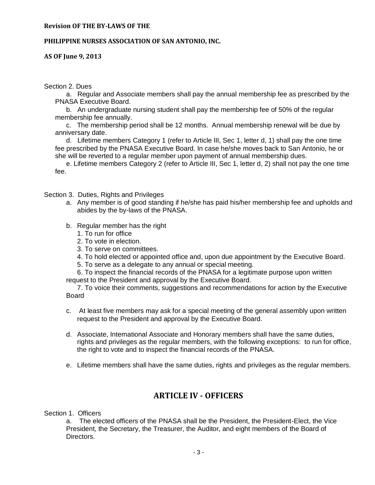## **PHILIPPINE NURSES ASSOCIATION OF SAN ANTONIO, INC.**

**AS OF June 9, 2013**

Section 2. Dues

a. Regular and Associate members shall pay the annual membership fee as prescribed by the PNASA Executive Board.

b. An undergraduate nursing student shall pay the membership fee of 50% of the regular membership fee annually.

c. The membership period shall be 12 months. Annual membership renewal will be due by anniversary date.

d. Lifetime members Category 1 (refer to Article III, Sec 1, letter d, 1) shall pay the one time fee prescribed by the PNASA Executive Board. In case he/she moves back to San Antonio, he or she will be reverted to a regular member upon payment of annual membership dues.

e. Lifetime members Category 2 (refer to Article III, Sec 1, letter d, 2) shall not pay the one time fee.

Section 3. Duties, Rights and Privileges

- a. Any member is of good standing if he/she has paid his/her membership fee and upholds and abides by the by-laws of the PNASA.
- b. Regular member has the right
	- 1. To run for office
	- 2. To vote in election.
	- 3. To serve on committees.
	- 4. To hold elected or appointed office and, upon due appointment by the Executive Board.
	- 5. To serve as a delegate to any annual or special meeting.

6. To inspect the financial records of the PNASA for a legitimate purpose upon written request to the President and approval by the Executive Board.

7. To voice their comments, suggestions and recommendations for action by the Executive Board

- c. At least five members may ask for a special meeting of the general assembly upon written request to the President and approval by the Executive Board.
- d. Associate, International Associate and Honorary members shall have the same duties, rights and privileges as the regular members, with the following exceptions: to run for office, the right to vote and to inspect the financial records of the PNASA.
- e. Lifetime members shall have the same duties, rights and privileges as the regular members.

# **ARTICLE IV - OFFICERS**

Section 1. Officers

a. The elected officers of the PNASA shall be the President, the President-Elect, the Vice President, the Secretary, the Treasurer, the Auditor, and eight members of the Board of Directors.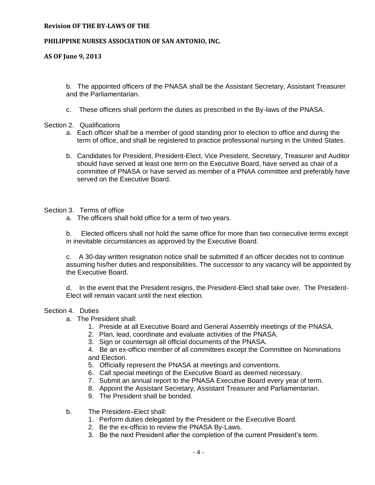#### **PHILIPPINE NURSES ASSOCIATION OF SAN ANTONIO, INC.**

## **AS OF June 9, 2013**

b. The appointed officers of the PNASA shall be the Assistant Secretary, Assistant Treasurer and the Parliamentarian.

c. These officers shall perform the duties as prescribed in the By-laws of the PNASA.

## Section 2. Qualifications

- a. Each officer shall be a member of good standing prior to election to office and during the term of office, and shall be registered to practice professional nursing in the United States.
- b. Candidates for President, President-Elect, Vice President, Secretary, Treasurer and Auditor should have served at least one term on the Executive Board, have served as chair of a committee of PNASA or have served as member of a PNAA committee and preferably have served on the Executive Board.

## Section 3. Terms of office

a. The officers shall hold office for a term of two years.

b. Elected officers shall not hold the same office for more than two consecutive terms except in inevitable circumstances as approved by the Executive Board.

c. A 30-day written resignation notice shall be submitted if an officer decides not to continue assuming his/her duties and responsibilities. The successor to any vacancy will be appointed by the Executive Board.

d. In the event that the President resigns, the President-Elect shall take over. The President-Elect will remain vacant until the next election.

## Section 4. Duties

- a. The President shall:
	- 1. Preside at all Executive Board and General Assembly meetings of the PNASA.
	- 2. Plan, lead, coordinate and evaluate activities of the PNASA.
	- 3. Sign or countersign all official documents of the PNASA.

4. Be an ex-officio member of all committees except the Committee on Nominations and Election.

- 5. Officially represent the PNASA at meetings and conventions.
- 6. Call special meetings of the Executive Board as deemed necessary.
- 7. Submit an annual report to the PNASA Executive Board every year of term.
- 8. Appoint the Assistant Secretary, Assistant Treasurer and Parliamentarian.
- 9. The President shall be bonded.
- b. The President–Elect shall:
	- 1. Perform duties delegated by the President or the Executive Board.
	- 2. Be the ex-officio to review the PNASA By-Laws.
	- 3. Be the next President after the completion of the current President's term.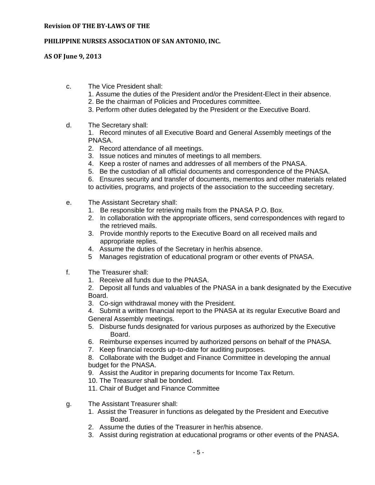## **PHILIPPINE NURSES ASSOCIATION OF SAN ANTONIO, INC.**

**AS OF June 9, 2013**

- c. The Vice President shall:
	- 1. Assume the duties of the President and/or the President-Elect in their absence.
	- 2. Be the chairman of Policies and Procedures committee.
	- 3. Perform other duties delegated by the President or the Executive Board.
- d. The Secretary shall:

1. Record minutes of all Executive Board and General Assembly meetings of the PNASA.

- 2. Record attendance of all meetings.
- 3. Issue notices and minutes of meetings to all members.
- 4. Keep a roster of names and addresses of all members of the PNASA.
- 5. Be the custodian of all official documents and correspondence of the PNASA.

6. Ensures security and transfer of documents, mementos and other materials related to activities, programs, and projects of the association to the succeeding secretary.

- e. The Assistant Secretary shall:
	- 1. Be responsible for retrieving mails from the PNASA P.O. Box.
	- 2. In collaboration with the appropriate officers, send correspondences with regard to the retrieved mails.
	- 3. Provide monthly reports to the Executive Board on all received mails and appropriate replies.
	- 4. Assume the duties of the Secretary in her/his absence.
	- 5 Manages registration of educational program or other events of PNASA.
- f. The Treasurer shall:
	- 1. Receive all funds due to the PNASA.

2. Deposit all funds and valuables of the PNASA in a bank designated by the Executive Board.

3. Co-sign withdrawal money with the President.

4. Submit a written financial report to the PNASA at its regular Executive Board and General Assembly meetings.

- 5. Disburse funds designated for various purposes as authorized by the Executive Board.
- 6. Reimburse expenses incurred by authorized persons on behalf of the PNASA.
- 7. Keep financial records up-to-date for auditing purposes.

8. Collaborate with the Budget and Finance Committee in developing the annual budget for the PNASA.

- 9. Assist the Auditor in preparing documents for Income Tax Return.
- 10. The Treasurer shall be bonded.
- 11. Chair of Budget and Finance Committee
- g. The Assistant Treasurer shall:
	- 1. Assist the Treasurer in functions as delegated by the President and Executive Board.
	- 2. Assume the duties of the Treasurer in her/his absence.
	- 3. Assist during registration at educational programs or other events of the PNASA.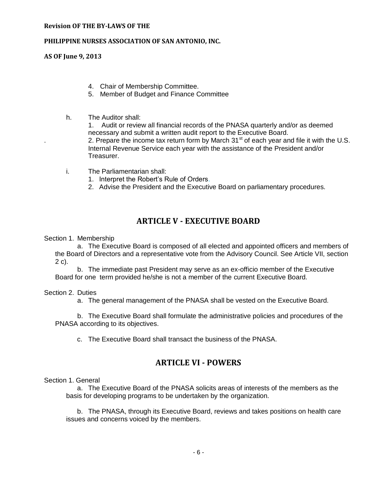### **PHILIPPINE NURSES ASSOCIATION OF SAN ANTONIO, INC.**

**AS OF June 9, 2013**

- 4. Chair of Membership Committee.
- 5. Member of Budget and Finance Committee
- h. The Auditor shall:

1. Audit or review all financial records of the PNASA quarterly and/or as deemed necessary and submit a written audit report to the Executive Board. 2. Prepare the income tax return form by March  $31<sup>st</sup>$  of each year and file it with the U.S. Internal Revenue Service each year with the assistance of the President and/or Treasurer.

- i. The Parliamentarian shall:
	- 1. Interpret the Robert's Rule of Orders.
	- 2. Advise the President and the Executive Board on parliamentary procedures.

## **ARTICLE V - EXECUTIVE BOARD**

Section 1. Membership

a. The Executive Board is composed of all elected and appointed officers and members of the Board of Directors and a representative vote from the Advisory Council. See Article VII, section 2 c).

b. The immediate past President may serve as an ex-officio member of the Executive Board for one term provided he/she is not a member of the current Executive Board.

## Section 2. Duties

a. The general management of the PNASA shall be vested on the Executive Board.

b. The Executive Board shall formulate the administrative policies and procedures of the PNASA according to its objectives.

c. The Executive Board shall transact the business of the PNASA.

## **ARTICLE VI - POWERS**

## Section 1. General

a. The Executive Board of the PNASA solicits areas of interests of the members as the basis for developing programs to be undertaken by the organization.

b. The PNASA, through its Executive Board, reviews and takes positions on health care issues and concerns voiced by the members.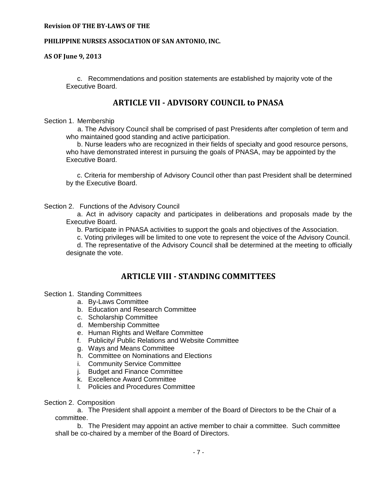### **PHILIPPINE NURSES ASSOCIATION OF SAN ANTONIO, INC.**

**AS OF June 9, 2013**

c. Recommendations and position statements are established by majority vote of the Executive Board.

## **ARTICLE VII - ADVISORY COUNCIL to PNASA**

### Section 1. Membership

 a. The Advisory Council shall be comprised of past Presidents after completion of term and who maintained good standing and active participation.

 b. Nurse leaders who are recognized in their fields of specialty and good resource persons, who have demonstrated interest in pursuing the goals of PNASA, mav be appointed by the Executive Board.

c. Criteria for membership of Advisory Council other than past President shall be determined by the Executive Board.

#### Section 2. Functions of the Advisory Council

 a. Act in advisory capacity and participates in deliberations and proposals made by the Executive Board.

b. Participate in PNASA activities to support the goals and objectives of the Association.

c. Voting privileges will be limited to one vote to represent the voice of the Advisory Council.

d. The representative of the Advisory Council shall be determined at the meeting to officially designate the vote.

## **ARTICLE VIII - STANDING COMMITTEES**

Section 1. Standing Committees

- a. By-Laws Committee
- b. Education and Research Committee
- c. Scholarship Committee
- d. Membership Committee
- e. Human Rights and Welfare Committee
- f. Publicity/ Public Relations and Website Committee
- g. Ways and Means Committee
- h. Committee on Nominations and Election*s*
- i. Community Service Committee
- j. Budget and Finance Committee
- k. Excellence Award Committee
- l. Policies and Procedures Committee
- Section 2. Composition

a. The President shall appoint a member of the Board of Directors to be the Chair of a committee.

b. The President may appoint an active member to chair a committee. Such committee shall be co-chaired by a member of the Board of Directors.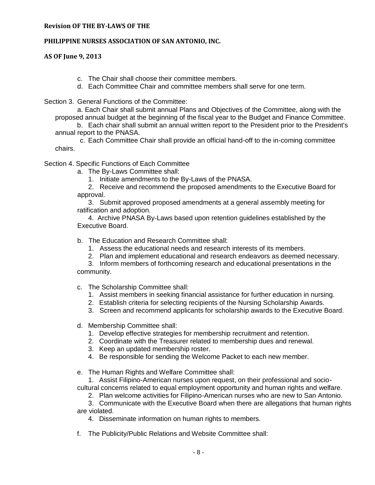## **PHILIPPINE NURSES ASSOCIATION OF SAN ANTONIO, INC.**

**AS OF June 9, 2013**

- c. The Chair shall choose their committee members.
- d. Each Committee Chair and committee members shall serve for one term.

Section 3. General Functions of the Committee:

a. Each Chair shall submit annual Plans and Objectives of the Committee, along with the proposed annual budget at the beginning of the fiscal year to the Budget and Finance Committee.

b. Each chair shall submit an annual written report to the President prior to the President's annual report to the PNASA.

c. Each Committee Chair shall provide an official hand-off to the in-coming committee chairs.

Section 4. Specific Functions of Each Committee

a. The By-Laws Committee shall:

1. Initiate amendments to the By-Laws of the PNASA.

2. Receive and recommend the proposed amendments to the Executive Board for approval.

3. Submit approved proposed amendments at a general assembly meeting for ratification and adoption.

 4. Archive PNASA By-Laws based upon retention guidelines established by the Executive Board.

- b. The Education and Research Committee shall:
	- 1. Assess the educational needs and research interests of its members.
	- 2. Plan and implement educational and research endeavors as deemed necessary.

3. Inform members of forthcoming research and educational presentations in the community.

- c. The Scholarship Committee shall:
	- 1. Assist members in seeking financial assistance for further education in nursing.
	- 2. Establish criteria for selecting recipients of the Nursing Scholarship Awards.
	- 3. Screen and recommend applicants for scholarship awards to the Executive Board.
- d. Membership Committee shall:
	- 1. Develop effective strategies for membership recruitment and retention.
	- 2. Coordinate with the Treasurer related to membership dues and renewal.
	- 3. Keep an updated membership roster.
	- 4. Be responsible for sending the Welcome Packet to each new member.
- e. The Human Rights and Welfare Committee shall:

1. Assist Filipino-American nurses upon request, on their professional and sociocultural concerns related to equal employment opportunity and human rights and welfare.

2. Plan welcome activities for Filipino-American nurses who are new to San Antonio.

3. Communicate with the Executive Board when there are allegations that human rights are violated.

4. Disseminate information on human rights to members.

f. The Publicity/Public Relations and Website Committee shall: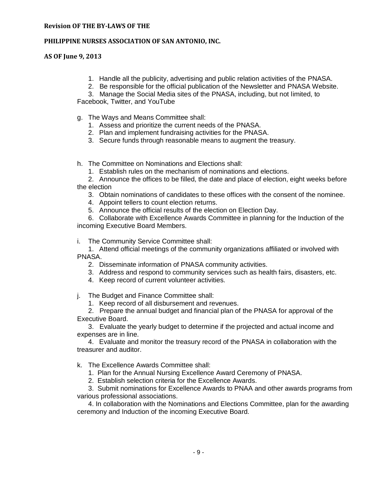## **PHILIPPINE NURSES ASSOCIATION OF SAN ANTONIO, INC.**

**AS OF June 9, 2013**

- 1. Handle all the publicity, advertising and public relation activities of the PNASA.
- 2. Be responsible for the official publication of the Newsletter and PNASA Website.

3. Manage the Social Media sites of the PNASA, including, but not limited, to Facebook, Twitter, and YouTube

- g. The Ways and Means Committee shall:
	- 1. Assess and prioritize the current needs of the PNASA.
	- 2. Plan and implement fundraising activities for the PNASA.
	- 3. Secure funds through reasonable means to augment the treasury.

h. The Committee on Nominations and Elections shall:

1. Establish rules on the mechanism of nominations and elections.

2. Announce the offices to be filled, the date and place of election, eight weeks before the election

3. Obtain nominations of candidates to these offices with the consent of the nominee.

4. Appoint tellers to count election returns.

5. Announce the official results of the election on Election Day.

6. Collaborate with Excellence Awards Committee in planning for the Induction of the incoming Executive Board Members.

i. The Community Service Committee shall:

1. Attend official meetings of the community organizations affiliated or involved with PNASA.

- 2. Disseminate information of PNASA community activities.
- 3. Address and respond to community services such as health fairs, disasters, etc.
- 4. Keep record of current volunteer activities.

j. The Budget and Finance Committee shall:

1. Keep record of all disbursement and revenues.

2. Prepare the annual budget and financial plan of the PNASA for approval of the Executive Board.

3. Evaluate the yearly budget to determine if the projected and actual income and expenses are in line.

4. Evaluate and monitor the treasury record of the PNASA in collaboration with the treasurer and auditor.

k. The Excellence Awards Committee shall:

1. Plan for the Annual Nursing Excellence Award Ceremony of PNASA.

2. Establish selection criteria for the Excellence Awards.

3. Submit nominations for Excellence Awards to PNAA and other awards programs from various professional associations.

 4. In collaboration with the Nominations and Elections Committee, plan for the awarding ceremony and Induction of the incoming Executive Board.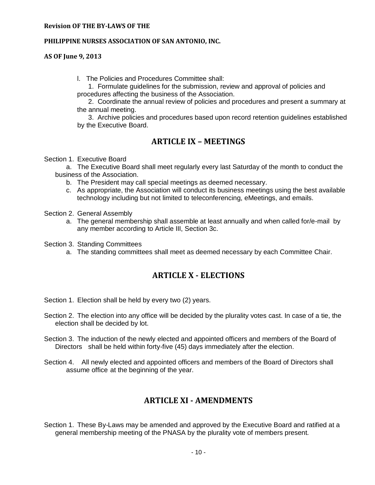#### **PHILIPPINE NURSES ASSOCIATION OF SAN ANTONIO, INC.**

**AS OF June 9, 2013**

l. The Policies and Procedures Committee shall:

 1. Formulate guidelines for the submission, review and approval of policies and procedures affecting the business of the Association.

 2. Coordinate the annual review of policies and procedures and present a summary at the annual meeting.

 3. Archive policies and procedures based upon record retention guidelines established by the Executive Board.

## **ARTICLE IX – MEETINGS**

Section 1. Executive Board

a. The Executive Board shall meet regularly every last Saturday of the month to conduct the business of the Association.

- b. The President may call special meetings as deemed necessary.
- c. As appropriate, the Association will conduct its business meetings using the best available technology including but not limited to teleconferencing, eMeetings, and emails.

Section 2. General Assembly

a. The general membership shall assemble at least annually and when called for/e-mail by any member according to Article III, Section 3c.

Section 3. Standing Committees

a. The standing committees shall meet as deemed necessary by each Committee Chair.

## **ARTICLE X - ELECTIONS**

Section 1. Election shall be held by every two (2) years.

- Section 2. The election into any office will be decided by the plurality votes cast. In case of a tie, the election shall be decided by lot.
- Section 3. The induction of the newly elected and appointed officers and members of the Board of Directors shall be held within forty-five (45) days immediately after the election.
- Section 4. All newly elected and appointed officers and members of the Board of Directors shall assume office at the beginning of the year.

## **ARTICLE XI - AMENDMENTS**

Section 1. These By-Laws may be amended and approved by the Executive Board and ratified at a general membership meeting of the PNASA by the plurality vote of members present.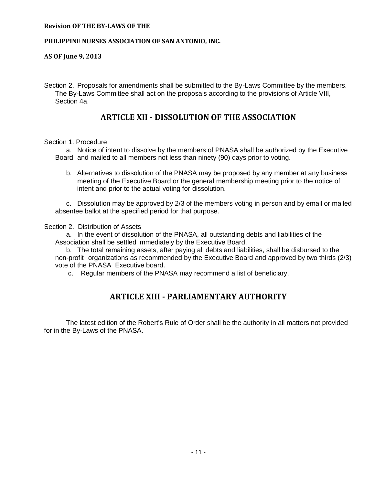#### **PHILIPPINE NURSES ASSOCIATION OF SAN ANTONIO, INC.**

**AS OF June 9, 2013**

Section 2. Proposals for amendments shall be submitted to the By-Laws Committee by the members. The By-Laws Committee shall act on the proposals according to the provisions of Article VIII, Section 4a.

## **ARTICLE XII - DISSOLUTION OF THE ASSOCIATION**

#### Section 1. Procedure

a. Notice of intent to dissolve by the members of PNASA shall be authorized by the Executive Board and mailed to all members not less than ninety (90) days prior to voting.

b. Alternatives to dissolution of the PNASA may be proposed by any member at any business meeting of the Executive Board or the general membership meeting prior to the notice of intent and prior to the actual voting for dissolution.

c. Dissolution may be approved by 2/3 of the members voting in person and by email or mailed absentee ballot at the specified period for that purpose.

Section 2. Distribution of Assets

a. In the event of dissolution of the PNASA, all outstanding debts and liabilities of the Association shall be settled immediately by the Executive Board.

b. The total remaining assets, after paying all debts and liabilities, shall be disbursed to the non-profit organizations as recommended by the Executive Board and approved by two thirds (2/3) vote of the PNASA Executive board.

c. Regular members of the PNASA may recommend a list of beneficiary.

## **ARTICLE XIII - PARLIAMENTARY AUTHORITY**

The latest edition of the Robert's Rule of Order shall be the authority in all matters not provided for in the By-Laws of the PNASA.